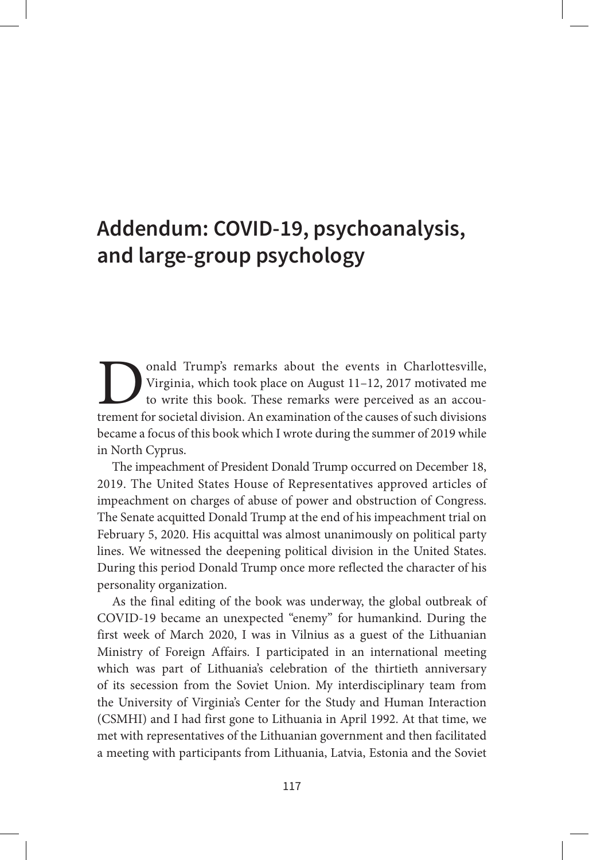## **Addendum: COVID-19, psychoanalysis, and large-group psychology**

**D** onald Trump's remarks about the events in Charlottesville, Virginia, which took place on August 11–12, 2017 motivated me to write this book. These remarks were perceived as an accoutrement for societal division. An exa Virginia, which took place on August 11–12, 2017 motivated me to write this book. These remarks were perceived as an accoutrement for societal division. An examination of the causes of such divisions became a focus of this book which I wrote during the summer of 2019 while in North Cyprus.

The impeachment of President Donald Trump occurred on December 18, 2019. The United States House of Representatives approved articles of impeachment on charges of abuse of power and obstruction of Congress. The Senate acquitted Donald Trump at the end of his impeachment trial on February 5, 2020. His acquittal was almost unanimously on political party lines. We witnessed the deepening political division in the United States. During this period Donald Trump once more reflected the character of his personality organization.

As the final editing of the book was underway, the global outbreak of COVID-19 became an unexpected "enemy" for humankind. During the first week of March 2020, I was in Vilnius as a guest of the Lithuanian Ministry of Foreign Affairs. I participated in an international meeting which was part of Lithuania's celebration of the thirtieth anniversary of its secession from the Soviet Union. My interdisciplinary team from the University of Virginia's Center for the Study and Human Interaction (CSMHI) and I had first gone to Lithuania in April 1992. At that time, we met with representatives of the Lithuanian government and then facilitated a meeting with participants from Lithuania, Latvia, Estonia and the Soviet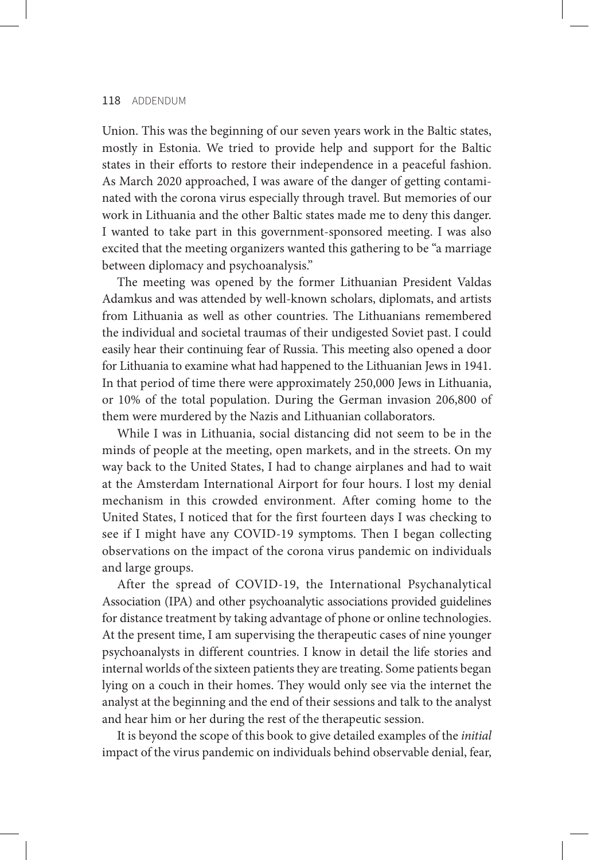Union. This was the beginning of our seven years work in the Baltic states, mostly in Estonia. We tried to provide help and support for the Baltic states in their efforts to restore their independence in a peaceful fashion. As March 2020 approached, I was aware of the danger of getting contaminated with the corona virus especially through travel. But memories of our work in Lithuania and the other Baltic states made me to deny this danger. I wanted to take part in this government-sponsored meeting. I was also excited that the meeting organizers wanted this gathering to be "a marriage between diplomacy and psychoanalysis."

The meeting was opened by the former Lithuanian President Valdas Adamkus and was attended by well-known scholars, diplomats, and artists from Lithuania as well as other countries. The Lithuanians remembered the individual and societal traumas of their undigested Soviet past. I could easily hear their continuing fear of Russia. This meeting also opened a door for Lithuania to examine what had happened to the Lithuanian Jews in 1941. In that period of time there were approximately 250,000 Jews in Lithuania, or 10% of the total population. During the German invasion 206,800 of them were murdered by the Nazis and Lithuanian collaborators.

While I was in Lithuania, social distancing did not seem to be in the minds of people at the meeting, open markets, and in the streets. On my way back to the United States, I had to change airplanes and had to wait at the Amsterdam International Airport for four hours. I lost my denial mechanism in this crowded environment. After coming home to the United States, I noticed that for the first fourteen days I was checking to see if I might have any COVID-19 symptoms. Then I began collecting observations on the impact of the corona virus pandemic on individuals and large groups.

After the spread of COVID-19, the International Psychanalytical Association (IPA) and other psychoanalytic associations provided guidelines for distance treatment by taking advantage of phone or online technologies. At the present time, I am supervising the therapeutic cases of nine younger psychoanalysts in different countries. I know in detail the life stories and internal worlds of the sixteen patients they are treating. Some patients began lying on a couch in their homes. They would only see via the internet the analyst at the beginning and the end of their sessions and talk to the analyst and hear him or her during the rest of the therapeutic session.

It is beyond the scope of this book to give detailed examples of the *initial* impact of the virus pandemic on individuals behind observable denial, fear,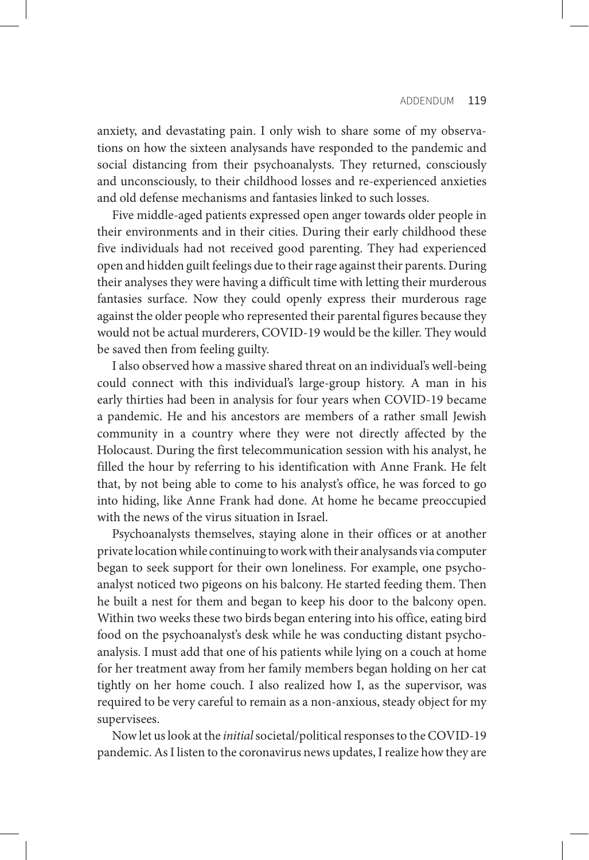anxiety, and devastating pain. I only wish to share some of my observations on how the sixteen analysands have responded to the pandemic and social distancing from their psychoanalysts. They returned, consciously and unconsciously, to their childhood losses and re-experienced anxieties and old defense mechanisms and fantasies linked to such losses.

Five middle-aged patients expressed open anger towards older people in their environments and in their cities. During their early childhood these five individuals had not received good parenting. They had experienced open and hidden guilt feelings due to their rage against their parents. During their analyses they were having a difficult time with letting their murderous fantasies surface. Now they could openly express their murderous rage against the older people who represented their parental figures because they would not be actual murderers, COVID-19 would be the killer. They would be saved then from feeling guilty.

I also observed how a massive shared threat on an individual's well-being could connect with this individual's large-group history. A man in his early thirties had been in analysis for four years when COVID-19 became a pandemic. He and his ancestors are members of a rather small Jewish community in a country where they were not directly affected by the Holocaust. During the first telecommunication session with his analyst, he filled the hour by referring to his identification with Anne Frank. He felt that, by not being able to come to his analyst's office, he was forced to go into hiding, like Anne Frank had done. At home he became preoccupied with the news of the virus situation in Israel.

Psychoanalysts themselves, staying alone in their offices or at another private location while continuing to work with their analysands via computer began to seek support for their own loneliness. For example, one psychoanalyst noticed two pigeons on his balcony. He started feeding them. Then he built a nest for them and began to keep his door to the balcony open. Within two weeks these two birds began entering into his office, eating bird food on the psychoanalyst's desk while he was conducting distant psychoanalysis. I must add that one of his patients while lying on a couch at home for her treatment away from her family members began holding on her cat tightly on her home couch. I also realized how I, as the supervisor, was required to be very careful to remain as a non-anxious, steady object for my supervisees.

Now let us look at the *initial* societal/political responses to the COVID-19 pandemic. As I listen to the coronavirus news updates, I realize how they are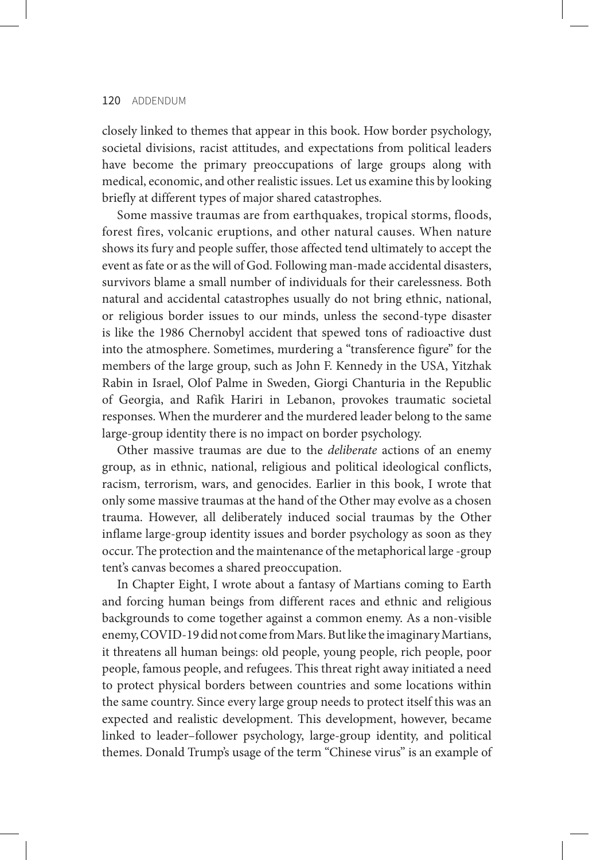closely linked to themes that appear in this book. How border psychology, societal divisions, racist attitudes, and expectations from political leaders have become the primary preoccupations of large groups along with medical, economic, and other realistic issues. Let us examine this by looking briefly at different types of major shared catastrophes.

Some massive traumas are from earthquakes, tropical storms, floods, forest fires, volcanic eruptions, and other natural causes. When nature shows its fury and people suffer, those affected tend ultimately to accept the event as fate or as the will of God. Following man-made accidental disasters, survivors blame a small number of individuals for their carelessness. Both natural and accidental catastrophes usually do not bring ethnic, national, or religious border issues to our minds, unless the second-type disaster is like the 1986 Chernobyl accident that spewed tons of radioactive dust into the atmosphere. Sometimes, murdering a "transference figure" for the members of the large group, such as John F. Kennedy in the USA, Yitzhak Rabin in Israel, Olof Palme in Sweden, Giorgi Chanturia in the Republic of Georgia, and Rafik Hariri in Lebanon, provokes traumatic societal responses. When the murderer and the murdered leader belong to the same large-group identity there is no impact on border psychology.

Other massive traumas are due to the *deliberate* actions of an enemy group, as in ethnic, national, religious and political ideological conflicts, racism, terrorism, wars, and genocides. Earlier in this book, I wrote that only some massive traumas at the hand of the Other may evolve as a chosen trauma. However, all deliberately induced social traumas by the Other inflame large-group identity issues and border psychology as soon as they occur. The protection and the maintenance of the metaphorical large -group tent's canvas becomes a shared preoccupation.

In Chapter Eight, I wrote about a fantasy of Martians coming to Earth and forcing human beings from different races and ethnic and religious backgrounds to come together against a common enemy. As a non-visible enemy, COVID-19 did not come from Mars. But like the imaginary Martians, it threatens all human beings: old people, young people, rich people, poor people, famous people, and refugees. This threat right away initiated a need to protect physical borders between countries and some locations within the same country. Since every large group needs to protect itself this was an expected and realistic development. This development, however, became linked to leader–follower psychology, large-group identity, and political themes. Donald Trump's usage of the term "Chinese virus" is an example of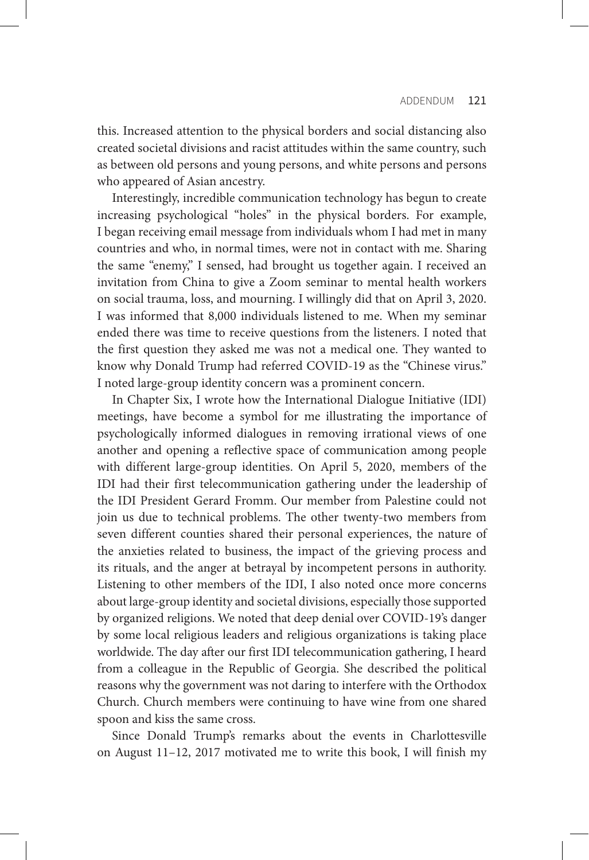this. Increased attention to the physical borders and social distancing also created societal divisions and racist attitudes within the same country, such as between old persons and young persons, and white persons and persons who appeared of Asian ancestry.

Interestingly, incredible communication technology has begun to create increasing psychological "holes" in the physical borders. For example, I began receiving email message from individuals whom I had met in many countries and who, in normal times, were not in contact with me. Sharing the same "enemy," I sensed, had brought us together again. I received an invitation from China to give a Zoom seminar to mental health workers on social trauma, loss, and mourning. I willingly did that on April 3, 2020. I was informed that 8,000 individuals listened to me. When my seminar ended there was time to receive questions from the listeners. I noted that the first question they asked me was not a medical one. They wanted to know why Donald Trump had referred COVID-19 as the "Chinese virus." I noted large-group identity concern was a prominent concern.

In Chapter Six, I wrote how the International Dialogue Initiative (IDI) meetings, have become a symbol for me illustrating the importance of psychologically informed dialogues in removing irrational views of one another and opening a reflective space of communication among people with different large-group identities. On April 5, 2020, members of the IDI had their first telecommunication gathering under the leadership of the IDI President Gerard Fromm. Our member from Palestine could not join us due to technical problems. The other twenty-two members from seven different counties shared their personal experiences, the nature of the anxieties related to business, the impact of the grieving process and its rituals, and the anger at betrayal by incompetent persons in authority. Listening to other members of the IDI, I also noted once more concerns about large-group identity and societal divisions, especially those supported by organized religions. We noted that deep denial over COVID-19's danger by some local religious leaders and religious organizations is taking place worldwide. The day after our first IDI telecommunication gathering, I heard from a colleague in the Republic of Georgia. She described the political reasons why the government was not daring to interfere with the Orthodox Church. Church members were continuing to have wine from one shared spoon and kiss the same cross.

Since Donald Trump's remarks about the events in Charlottesville on August 11–12, 2017 motivated me to write this book, I will finish my